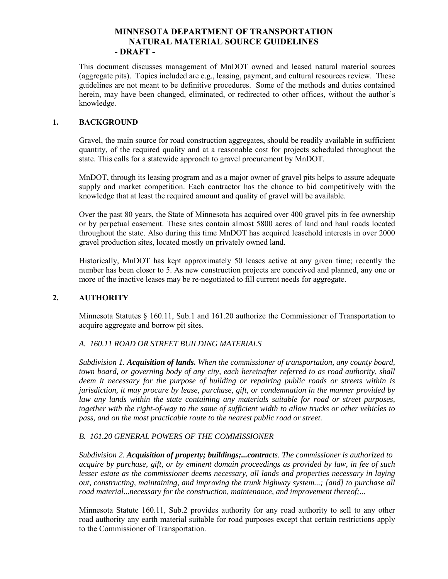# **MINNESOTA DEPARTMENT OF TRANSPORTATION NATURAL MATERIAL SOURCE GUIDELINES - DRAFT -**

This document discusses management of MnDOT owned and leased natural material sources (aggregate pits). Topics included are e.g., leasing, payment, and cultural resources review. These guidelines are not meant to be definitive procedures. Some of the methods and duties contained herein, may have been changed, eliminated, or redirected to other offices, without the author's knowledge.

#### **1. BACKGROUND**

Gravel, the main source for road construction aggregates, should be readily available in sufficient quantity, of the required quality and at a reasonable cost for projects scheduled throughout the state. This calls for a statewide approach to gravel procurement by MnDOT.

MnDOT, through its leasing program and as a major owner of gravel pits helps to assure adequate supply and market competition. Each contractor has the chance to bid competitively with the knowledge that at least the required amount and quality of gravel will be available.

Over the past 80 years, the State of Minnesota has acquired over 400 gravel pits in fee ownership or by perpetual easement. These sites contain almost 5800 acres of land and haul roads located throughout the state. Also during this time MnDOT has acquired leasehold interests in over 2000 gravel production sites, located mostly on privately owned land.

Historically, MnDOT has kept approximately 50 leases active at any given time; recently the number has been closer to 5. As new construction projects are conceived and planned, any one or more of the inactive leases may be re-negotiated to fill current needs for aggregate.

# **2. AUTHORITY**

Minnesota Statutes § 160.11, Sub.1 and 161.20 authorize the Commissioner of Transportation to acquire aggregate and borrow pit sites.

# *A. 160.11 ROAD OR STREET BUILDING MATERIALS*

*Subdivision 1. Acquisition of lands. When the commissioner of transportation, any county board, town board, or governing body of any city, each hereinafter referred to as road authority, shall deem it necessary for the purpose of building or repairing public roads or streets within is jurisdiction, it may procure by lease, purchase, gift, or condemnation in the manner provided by law any lands within the state containing any materials suitable for road or street purposes, together with the right-of-way to the same of sufficient width to allow trucks or other vehicles to pass, and on the most practicable route to the nearest public road or street.* 

#### *B. 161.20 GENERAL POWERS OF THE COMMISSIONER*

*Subdivision 2. Acquisition of property; buildings;...contracts. The commissioner is authorized to acquire by purchase, gift, or by eminent domain proceedings as provided by law, in fee of such lesser estate as the commissioner deems necessary, all lands and properties necessary in laying out, constructing, maintaining, and improving the trunk highway system...; [and] to purchase all road material...necessary for the construction, maintenance, and improvement thereof;...* 

Minnesota Statute 160.11, Sub.2 provides authority for any road authority to sell to any other road authority any earth material suitable for road purposes except that certain restrictions apply to the Commissioner of Transportation.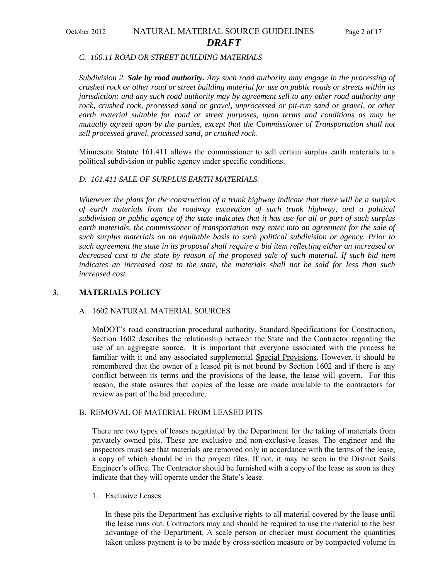# October 2012 NATURAL MATERIAL SOURCE GUIDELINES Page 2 of 17 *DRAFT*

#### *C. 160.11 ROAD OR STREET BUILDING MATERIALS*

*Subdivision 2. Sale by road authority. Any such road authority may engage in the processing of crushed rock or other road or street building material for use on public roads or streets within its jurisdiction; and any such road authority may by agreement sell to any other road authority any rock, crushed rock, processed sand or gravel, unprocessed or pit-run sand or gravel, or other earth material suitable for road or street purposes, upon terms and conditions as may be mutually agreed upon by the parties, except that the Commissioner of Transportation shall not sell processed gravel, processed sand, or crushed rock.*

Minnesota Statute 161.411 allows the commissioner to sell certain surplus earth materials to a political subdivision or public agency under specific conditions.

#### *D. 161.411 SALE OF SURPLUS EARTH MATERIALS.*

*Whenever the plans for the construction of a trunk highway indicate that there will be a surplus of earth materials from the roadway excavation of such trunk highway, and a political subdivision or public agency of the state indicates that it has use for all or part of such surplus earth materials, the commissioner of transportation may enter into an agreement for the sale of such surplus materials on an equitable basis to such political subdivision or agency. Prior to such agreement the state in its proposal shall require a bid item reflecting either an increased or decreased cost to the state by reason of the proposed sale of such material. If such bid item indicates an increased cost to the state, the materials shall not be sold for less than such increased cost.* 

#### **3. MATERIALS POLICY**

#### A. 1602 NATURAL MATERIAL SOURCES

MnDOT's road construction procedural authority, Standard Specifications for Construction, Section 1602 describes the relationship between the State and the Contractor regarding the use of an aggregate source. It is important that everyone associated with the process be familiar with it and any associated supplemental Special Provisions. However, it should be remembered that the owner of a leased pit is not bound by Section 1602 and if there is any conflict between its terms and the provisions of the lease, the lease will govern. For this reason, the state assures that copies of the lease are made available to the contractors for review as part of the bid procedure.

#### B. REMOVAL OF MATERIAL FROM LEASED PITS

There are two types of leases negotiated by the Department for the taking of materials from privately owned pits. These are exclusive and non-exclusive leases. The engineer and the inspectors must see that materials are removed only in accordance with the terms of the lease, a copy of which should be in the project files. If not, it may be seen in the District Soils Engineer's office. The Contractor should be furnished with a copy of the lease as soon as they indicate that they will operate under the State's lease.

#### 1. Exclusive Leases

In these pits the Department has exclusive rights to all material covered by the lease until the lease runs out. Contractors may and should be required to use the material to the best advantage of the Department. A scale person or checker must document the quantities taken unless payment is to be made by cross-section measure or by compacted volume in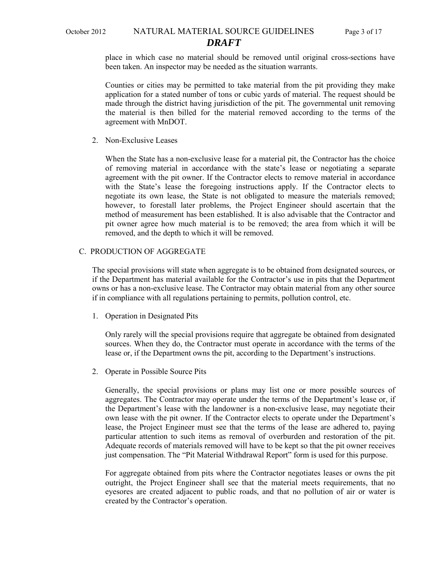#### October 2012 NATURAL MATERIAL SOURCE GUIDELINES Page 3 of 17 *DRAFT*

place in which case no material should be removed until original cross-sections have been taken. An inspector may be needed as the situation warrants.

Counties or cities may be permitted to take material from the pit providing they make application for a stated number of tons or cubic yards of material. The request should be made through the district having jurisdiction of the pit. The governmental unit removing the material is then billed for the material removed according to the terms of the agreement with MnDOT.

2. Non-Exclusive Leases

When the State has a non-exclusive lease for a material pit, the Contractor has the choice of removing material in accordance with the state's lease or negotiating a separate agreement with the pit owner. If the Contractor elects to remove material in accordance with the State's lease the foregoing instructions apply. If the Contractor elects to negotiate its own lease, the State is not obligated to measure the materials removed; however, to forestall later problems, the Project Engineer should ascertain that the method of measurement has been established. It is also advisable that the Contractor and pit owner agree how much material is to be removed; the area from which it will be removed, and the depth to which it will be removed.

#### C. PRODUCTION OF AGGREGATE

The special provisions will state when aggregate is to be obtained from designated sources, or if the Department has material available for the Contractor's use in pits that the Department owns or has a non-exclusive lease. The Contractor may obtain material from any other source if in compliance with all regulations pertaining to permits, pollution control, etc.

1. Operation in Designated Pits

Only rarely will the special provisions require that aggregate be obtained from designated sources. When they do, the Contractor must operate in accordance with the terms of the lease or, if the Department owns the pit, according to the Department's instructions.

2. Operate in Possible Source Pits

Generally, the special provisions or plans may list one or more possible sources of aggregates. The Contractor may operate under the terms of the Department's lease or, if the Department's lease with the landowner is a non-exclusive lease, may negotiate their own lease with the pit owner. If the Contractor elects to operate under the Department's lease, the Project Engineer must see that the terms of the lease are adhered to, paying particular attention to such items as removal of overburden and restoration of the pit. Adequate records of materials removed will have to be kept so that the pit owner receives just compensation. The "Pit Material Withdrawal Report" form is used for this purpose.

For aggregate obtained from pits where the Contractor negotiates leases or owns the pit outright, the Project Engineer shall see that the material meets requirements, that no eyesores are created adjacent to public roads, and that no pollution of air or water is created by the Contractor's operation.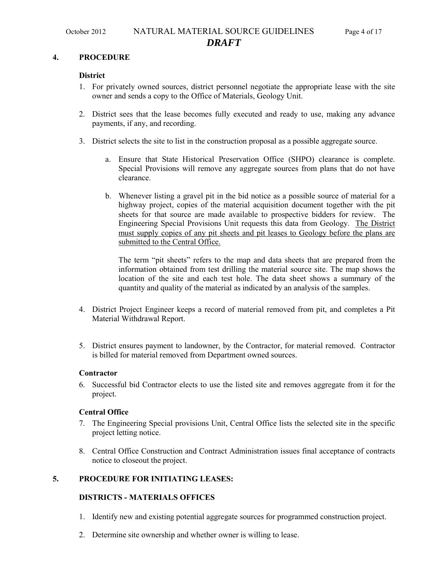#### **4. PROCEDURE**

#### **District**

- 1. For privately owned sources, district personnel negotiate the appropriate lease with the site owner and sends a copy to the Office of Materials, Geology Unit.
- 2. District sees that the lease becomes fully executed and ready to use, making any advance payments, if any, and recording.
- 3. District selects the site to list in the construction proposal as a possible aggregate source.
	- a. Ensure that State Historical Preservation Office (SHPO) clearance is complete. Special Provisions will remove any aggregate sources from plans that do not have clearance.
	- b. Whenever listing a gravel pit in the bid notice as a possible source of material for a highway project, copies of the material acquisition document together with the pit sheets for that source are made available to prospective bidders for review. The Engineering Special Provisions Unit requests this data from Geology. The District must supply copies of any pit sheets and pit leases to Geology before the plans are submitted to the Central Office.

The term "pit sheets" refers to the map and data sheets that are prepared from the information obtained from test drilling the material source site. The map shows the location of the site and each test hole. The data sheet shows a summary of the quantity and quality of the material as indicated by an analysis of the samples.

- 4. District Project Engineer keeps a record of material removed from pit, and completes a Pit Material Withdrawal Report.
- 5. District ensures payment to landowner, by the Contractor, for material removed. Contractor is billed for material removed from Department owned sources.

#### **Contractor**

6. Successful bid Contractor elects to use the listed site and removes aggregate from it for the project.

#### **Central Office**

- 7. The Engineering Special provisions Unit, Central Office lists the selected site in the specific project letting notice.
- 8. Central Office Construction and Contract Administration issues final acceptance of contracts notice to closeout the project.

# **5. PROCEDURE FOR INITIATING LEASES:**

### **DISTRICTS - MATERIALS OFFICES**

- 1. Identify new and existing potential aggregate sources for programmed construction project.
- 2. Determine site ownership and whether owner is willing to lease.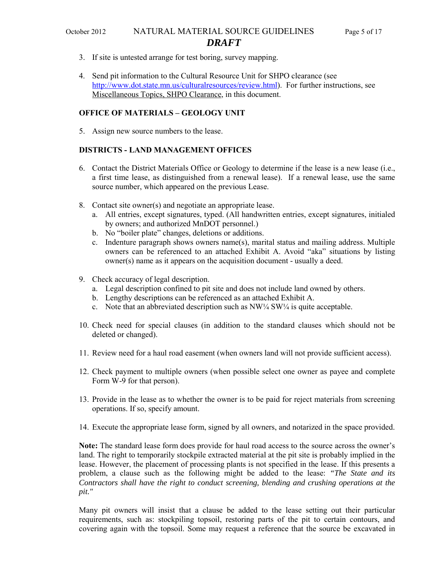# October 2012 NATURAL MATERIAL SOURCE GUIDELINES Page 5 of 17 *DRAFT*

- 3. If site is untested arrange for test boring, survey mapping.
- 4. Send pit information to the Cultural Resource Unit for SHPO clearance (see [http://www.dot.state.mn.us/culturalresources/review.html\)](http://www.dot.state.mn.us/culturalresources/review.html). For further instructions, see Miscellaneous Topics, SHPO Clearance, in this document.

#### **OFFICE OF MATERIALS – GEOLOGY UNIT**

5. Assign new source numbers to the lease.

#### **DISTRICTS - LAND MANAGEMENT OFFICES**

- 6. Contact the District Materials Office or Geology to determine if the lease is a new lease (i.e., a first time lease, as distinguished from a renewal lease). If a renewal lease, use the same source number, which appeared on the previous Lease.
- 8. Contact site owner(s) and negotiate an appropriate lease.
	- a. All entries, except signatures, typed. (All handwritten entries, except signatures, initialed by owners; and authorized MnDOT personnel.)
	- b. No "boiler plate" changes, deletions or additions.
	- c. Indenture paragraph shows owners name(s), marital status and mailing address. Multiple owners can be referenced to an attached Exhibit A. Avoid "aka" situations by listing owner(s) name as it appears on the acquisition document - usually a deed.
- 9. Check accuracy of legal description.
	- a. Legal description confined to pit site and does not include land owned by others.
	- b. Lengthy descriptions can be referenced as an attached Exhibit A.
	- c. Note that an abbreviated description such as  $NW\frac{1}{4} SW\frac{1}{4}$  is quite acceptable.
- 10. Check need for special clauses (in addition to the standard clauses which should not be deleted or changed).
- 11. Review need for a haul road easement (when owners land will not provide sufficient access).
- 12. Check payment to multiple owners (when possible select one owner as payee and complete Form W-9 for that person).
- 13. Provide in the lease as to whether the owner is to be paid for reject materials from screening operations. If so, specify amount.
- 14. Execute the appropriate lease form, signed by all owners, and notarized in the space provided.

**Note:** The standard lease form does provide for haul road access to the source across the owner's land. The right to temporarily stockpile extracted material at the pit site is probably implied in the lease. However, the placement of processing plants is not specified in the lease. If this presents a problem, a clause such as the following might be added to the lease: *"The State and its Contractors shall have the right to conduct screening, blending and crushing operations at the pit."*

Many pit owners will insist that a clause be added to the lease setting out their particular requirements, such as: stockpiling topsoil, restoring parts of the pit to certain contours, and covering again with the topsoil. Some may request a reference that the source be excavated in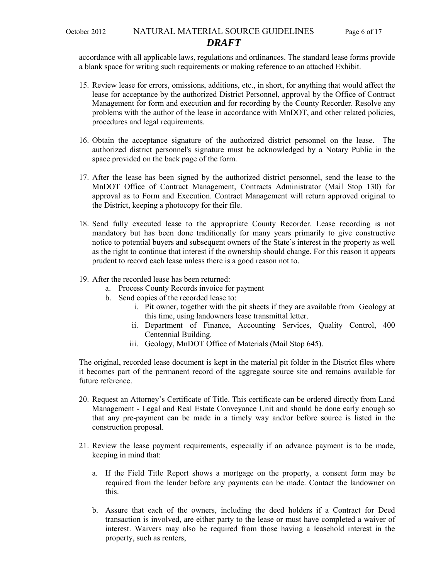accordance with all applicable laws, regulations and ordinances. The standard lease forms provide a blank space for writing such requirements or making reference to an attached Exhibit.

- 15. Review lease for errors, omissions, additions, etc., in short, for anything that would affect the lease for acceptance by the authorized District Personnel, approval by the Office of Contract Management for form and execution and for recording by the County Recorder. Resolve any problems with the author of the lease in accordance with MnDOT, and other related policies, procedures and legal requirements.
- 16. Obtain the acceptance signature of the authorized district personnel on the lease. The authorized district personnel's signature must be acknowledged by a Notary Public in the space provided on the back page of the form.
- 17. After the lease has been signed by the authorized district personnel, send the lease to the MnDOT Office of Contract Management, Contracts Administrator (Mail Stop 130) for approval as to Form and Execution. Contract Management will return approved original to the District, keeping a photocopy for their file.
- 18. Send fully executed lease to the appropriate County Recorder. Lease recording is not mandatory but has been done traditionally for many years primarily to give constructive notice to potential buyers and subsequent owners of the State's interest in the property as well as the right to continue that interest if the ownership should change. For this reason it appears prudent to record each lease unless there is a good reason not to.
- 19. After the recorded lease has been returned:
	- a. Process County Records invoice for payment
	- b. Send copies of the recorded lease to:
		- i. Pit owner, together with the pit sheets if they are available from Geology at this time, using landowners lease transmittal letter.
		- ii. Department of Finance, Accounting Services, Quality Control, 400 Centennial Building.
		- iii. Geology, MnDOT Office of Materials (Mail Stop 645).

The original, recorded lease document is kept in the material pit folder in the District files where it becomes part of the permanent record of the aggregate source site and remains available for future reference.

- 20. Request an Attorney's Certificate of Title. This certificate can be ordered directly from Land Management - Legal and Real Estate Conveyance Unit and should be done early enough so that any pre-payment can be made in a timely way and/or before source is listed in the construction proposal.
- 21. Review the lease payment requirements, especially if an advance payment is to be made, keeping in mind that:
	- a. If the Field Title Report shows a mortgage on the property, a consent form may be required from the lender before any payments can be made. Contact the landowner on this.
	- b. Assure that each of the owners, including the deed holders if a Contract for Deed transaction is involved, are either party to the lease or must have completed a waiver of interest. Waivers may also be required from those having a leasehold interest in the property, such as renters,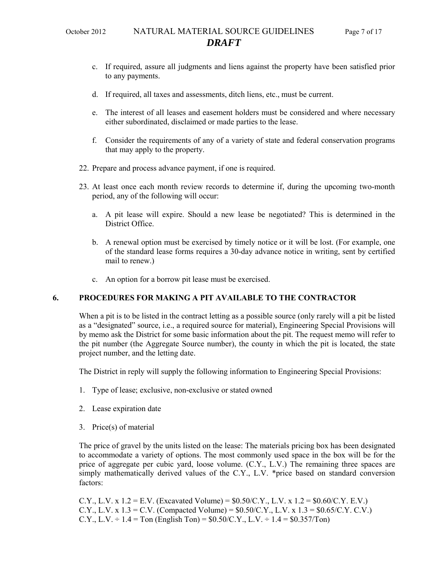- c. If required, assure all judgments and liens against the property have been satisfied prior to any payments.
- d. If required, all taxes and assessments, ditch liens, etc., must be current.
- e. The interest of all leases and easement holders must be considered and where necessary either subordinated, disclaimed or made parties to the lease.
- f. Consider the requirements of any of a variety of state and federal conservation programs that may apply to the property.
- 22. Prepare and process advance payment, if one is required.
- 23. At least once each month review records to determine if, during the upcoming two-month period, any of the following will occur:
	- a. A pit lease will expire. Should a new lease be negotiated? This is determined in the District Office.
	- b. A renewal option must be exercised by timely notice or it will be lost. (For example, one of the standard lease forms requires a 30-day advance notice in writing, sent by certified mail to renew.)
	- c. An option for a borrow pit lease must be exercised.

### **6. PROCEDURES FOR MAKING A PIT AVAILABLE TO THE CONTRACTOR**

When a pit is to be listed in the contract letting as a possible source (only rarely will a pit be listed as a "designated" source, i.e., a required source for material), Engineering Special Provisions will by memo ask the District for some basic information about the pit. The request memo will refer to the pit number (the Aggregate Source number), the county in which the pit is located, the state project number, and the letting date.

The District in reply will supply the following information to Engineering Special Provisions:

- 1. Type of lease; exclusive, non-exclusive or stated owned
- 2. Lease expiration date
- 3. Price(s) of material

The price of gravel by the units listed on the lease: The materials pricing box has been designated to accommodate a variety of options. The most commonly used space in the box will be for the price of aggregate per cubic yard, loose volume. (C.Y., L.V.) The remaining three spaces are simply mathematically derived values of the C.Y., L.V. \*price based on standard conversion factors:

C.Y., L.V. x  $1.2 = E.V.$  (Excavated Volume) = \$0.50/C.Y., L.V. x  $1.2 = $0.60/C.Y.$  E.V.) C.Y., L.V. x  $1.3 = C.V.$  (Compacted Volume) = \$0.50/C.Y., L.V. x  $1.3 = $0.65/C.Y.$  C.V.) C.Y., L.V.  $\div$  1.4 = Ton (English Ton) = \$0.50/C.Y., L.V.  $\div$  1.4 = \$0.357/Ton)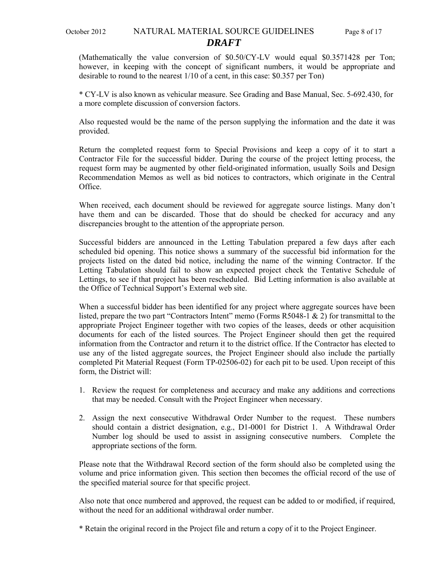(Mathematically the value conversion of \$0.50/CY-LV would equal \$0.3571428 per Ton; however, in keeping with the concept of significant numbers, it would be appropriate and desirable to round to the nearest 1/10 of a cent, in this case: \$0.357 per Ton)

\* CY-LV is also known as vehicular measure. See Grading and Base Manual, Sec. 5-692.430, for a more complete discussion of conversion factors.

Also requested would be the name of the person supplying the information and the date it was provided.

Return the completed request form to Special Provisions and keep a copy of it to start a Contractor File for the successful bidder. During the course of the project letting process, the request form may be augmented by other field-originated information, usually Soils and Design Recommendation Memos as well as bid notices to contractors, which originate in the Central Office.

When received, each document should be reviewed for aggregate source listings. Many don't have them and can be discarded. Those that do should be checked for accuracy and any discrepancies brought to the attention of the appropriate person.

Successful bidders are announced in the Letting Tabulation prepared a few days after each scheduled bid opening. This notice shows a summary of the successful bid information for the projects listed on the dated bid notice, including the name of the winning Contractor. If the Letting Tabulation should fail to show an expected project check the Tentative Schedule of Lettings, to see if that project has been rescheduled. Bid Letting information is also available at the Office of Technical Support's External web site.

When a successful bidder has been identified for any project where aggregate sources have been listed, prepare the two part "Contractors Intent" memo (Forms R5048-1 & 2) for transmittal to the appropriate Project Engineer together with two copies of the leases, deeds or other acquisition documents for each of the listed sources. The Project Engineer should then get the required information from the Contractor and return it to the district office. If the Contractor has elected to use any of the listed aggregate sources, the Project Engineer should also include the partially completed Pit Material Request (Form TP-02506-02) for each pit to be used. Upon receipt of this form, the District will:

- 1. Review the request for completeness and accuracy and make any additions and corrections that may be needed. Consult with the Project Engineer when necessary.
- 2. Assign the next consecutive Withdrawal Order Number to the request. These numbers should contain a district designation, e.g., D1-0001 for District 1. A Withdrawal Order Number log should be used to assist in assigning consecutive numbers. Complete the appropriate sections of the form.

Please note that the Withdrawal Record section of the form should also be completed using the volume and price information given. This section then becomes the official record of the use of the specified material source for that specific project.

Also note that once numbered and approved, the request can be added to or modified, if required, without the need for an additional withdrawal order number.

\* Retain the original record in the Project file and return a copy of it to the Project Engineer.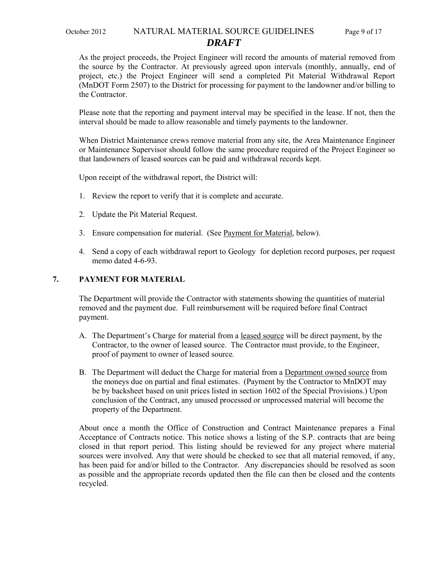# October 2012 NATURAL MATERIAL SOURCE GUIDELINES Page 9 of 17

# *DRAFT*

As the project proceeds, the Project Engineer will record the amounts of material removed from the source by the Contractor. At previously agreed upon intervals (monthly, annually, end of project, etc.) the Project Engineer will send a completed Pit Material Withdrawal Report (MnDOT Form 2507) to the District for processing for payment to the landowner and/or billing to the Contractor.

Please note that the reporting and payment interval may be specified in the lease. If not, then the interval should be made to allow reasonable and timely payments to the landowner.

When District Maintenance crews remove material from any site, the Area Maintenance Engineer or Maintenance Supervisor should follow the same procedure required of the Project Engineer so that landowners of leased sources can be paid and withdrawal records kept.

Upon receipt of the withdrawal report, the District will:

- 1. Review the report to verify that it is complete and accurate.
- 2. Update the Pit Material Request.
- 3. Ensure compensation for material. (See Payment for Material, below).
- 4. Send a copy of each withdrawal report to Geology for depletion record purposes, per request memo dated 4-6-93.

#### **7. PAYMENT FOR MATERIAL**

The Department will provide the Contractor with statements showing the quantities of material removed and the payment due. Full reimbursement will be required before final Contract payment.

- A. The Department's Charge for material from a leased source will be direct payment, by the Contractor, to the owner of leased source. The Contractor must provide, to the Engineer, proof of payment to owner of leased source.
- B. The Department will deduct the Charge for material from a Department owned source from the moneys due on partial and final estimates. (Payment by the Contractor to MnDOT may be by backsheet based on unit prices listed in section 1602 of the Special Provisions.) Upon conclusion of the Contract, any unused processed or unprocessed material will become the property of the Department.

About once a month the Office of Construction and Contract Maintenance prepares a Final Acceptance of Contracts notice. This notice shows a listing of the S.P. contracts that are being closed in that report period. This listing should be reviewed for any project where material sources were involved. Any that were should be checked to see that all material removed, if any, has been paid for and/or billed to the Contractor. Any discrepancies should be resolved as soon as possible and the appropriate records updated then the file can then be closed and the contents recycled.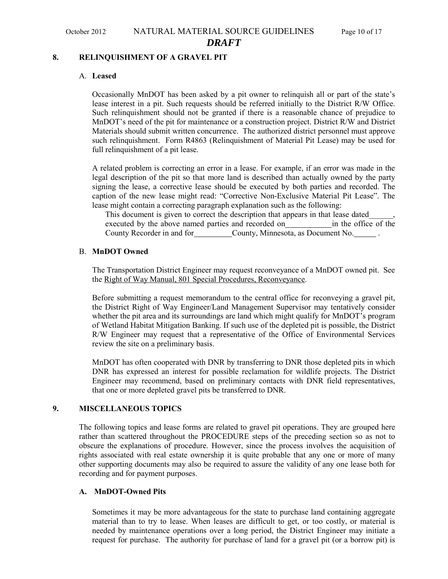#### **8. RELINQUISHMENT OF A GRAVEL PIT**

#### A. **Leased**

Occasionally MnDOT has been asked by a pit owner to relinquish all or part of the state's lease interest in a pit. Such requests should be referred initially to the District R/W Office. Such relinquishment should not be granted if there is a reasonable chance of prejudice to MnDOT's need of the pit for maintenance or a construction project. District R/W and District Materials should submit written concurrence. The authorized district personnel must approve such relinquishment. Form R4863 (Relinquishment of Material Pit Lease) may be used for full relinquishment of a pit lease.

A related problem is correcting an error in a lease. For example, if an error was made in the legal description of the pit so that more land is described than actually owned by the party signing the lease, a corrective lease should be executed by both parties and recorded. The caption of the new lease might read: "Corrective Non-Exclusive Material Pit Lease". The lease might contain a correcting paragraph explanation such as the following:

This document is given to correct the description that appears in that lease dated\_\_\_\_\_\_, executed by the above named parties and recorded on in the office of the County Recorder in and for County, Minnesota, as Document No. .

#### B. **MnDOT Owned**

The Transportation District Engineer may request reconveyance of a MnDOT owned pit. See the Right of Way Manual, 801 Special Procedures, Reconveyance.

Before submitting a request memorandum to the central office for reconveying a gravel pit, the District Right of Way Engineer/Land Management Supervisor may tentatively consider whether the pit area and its surroundings are land which might qualify for MnDOT's program of Wetland Habitat Mitigation Banking. If such use of the depleted pit is possible, the District R/W Engineer may request that a representative of the Office of Environmental Services review the site on a preliminary basis.

MnDOT has often cooperated with DNR by transferring to DNR those depleted pits in which DNR has expressed an interest for possible reclamation for wildlife projects. The District Engineer may recommend, based on preliminary contacts with DNR field representatives, that one or more depleted gravel pits be transferred to DNR.

### **9. MISCELLANEOUS TOPICS**

The following topics and lease forms are related to gravel pit operations. They are grouped here rather than scattered throughout the PROCEDURE steps of the preceding section so as not to obscure the explanations of procedure. However, since the process involves the acquisition of rights associated with real estate ownership it is quite probable that any one or more of many other supporting documents may also be required to assure the validity of any one lease both for recording and for payment purposes.

#### **A. MnDOT-Owned Pits**

Sometimes it may be more advantageous for the state to purchase land containing aggregate material than to try to lease. When leases are difficult to get, or too costly, or material is needed by maintenance operations over a long period, the District Engineer may initiate a request for purchase. The authority for purchase of land for a gravel pit (or a borrow pit) is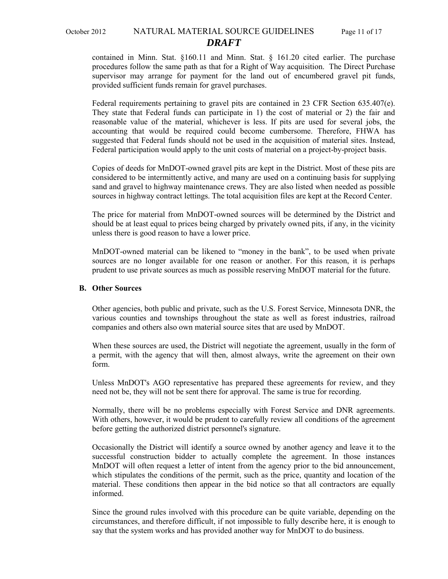# October 2012 NATURAL MATERIAL SOURCE GUIDELINES Page 11 of 17 *DRAFT*

contained in Minn. Stat. §160.11 and Minn. Stat. § 161.20 cited earlier. The purchase procedures follow the same path as that for a Right of Way acquisition. The Direct Purchase supervisor may arrange for payment for the land out of encumbered gravel pit funds, provided sufficient funds remain for gravel purchases.

Federal requirements pertaining to gravel pits are contained in 23 CFR Section 635.407(e). They state that Federal funds can participate in 1) the cost of material or 2) the fair and reasonable value of the material, whichever is less. If pits are used for several jobs, the accounting that would be required could become cumbersome. Therefore, FHWA has suggested that Federal funds should not be used in the acquisition of material sites. Instead, Federal participation would apply to the unit costs of material on a project-by-project basis.

Copies of deeds for MnDOT-owned gravel pits are kept in the District. Most of these pits are considered to be intermittently active, and many are used on a continuing basis for supplying sand and gravel to highway maintenance crews. They are also listed when needed as possible sources in highway contract lettings. The total acquisition files are kept at the Record Center.

The price for material from MnDOT-owned sources will be determined by the District and should be at least equal to prices being charged by privately owned pits, if any, in the vicinity unless there is good reason to have a lower price.

MnDOT-owned material can be likened to "money in the bank", to be used when private sources are no longer available for one reason or another. For this reason, it is perhaps prudent to use private sources as much as possible reserving MnDOT material for the future.

#### **B. Other Sources**

Other agencies, both public and private, such as the U.S. Forest Service, Minnesota DNR, the various counties and townships throughout the state as well as forest industries, railroad companies and others also own material source sites that are used by MnDOT.

When these sources are used, the District will negotiate the agreement, usually in the form of a permit, with the agency that will then, almost always, write the agreement on their own form.

Unless MnDOT's AGO representative has prepared these agreements for review, and they need not be, they will not be sent there for approval. The same is true for recording.

Normally, there will be no problems especially with Forest Service and DNR agreements. With others, however, it would be prudent to carefully review all conditions of the agreement before getting the authorized district personnel's signature.

Occasionally the District will identify a source owned by another agency and leave it to the successful construction bidder to actually complete the agreement. In those instances MnDOT will often request a letter of intent from the agency prior to the bid announcement, which stipulates the conditions of the permit, such as the price, quantity and location of the material. These conditions then appear in the bid notice so that all contractors are equally informed.

Since the ground rules involved with this procedure can be quite variable, depending on the circumstances, and therefore difficult, if not impossible to fully describe here, it is enough to say that the system works and has provided another way for MnDOT to do business.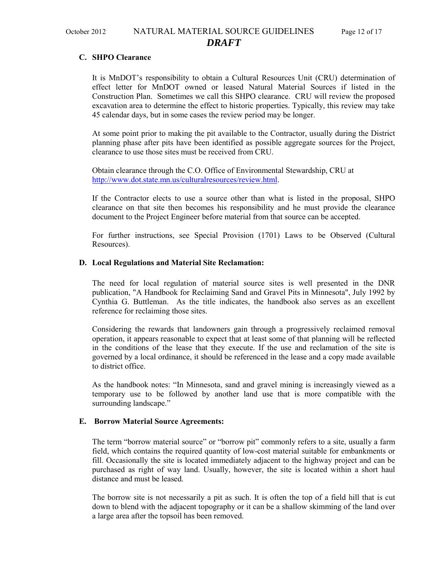## October 2012 NATURAL MATERIAL SOURCE GUIDELINES Page 12 of 17 *DRAFT*

#### **C. SHPO Clearance**

It is MnDOT's responsibility to obtain a Cultural Resources Unit (CRU) determination of effect letter for MnDOT owned or leased Natural Material Sources if listed in the Construction Plan. Sometimes we call this SHPO clearance. CRU will review the proposed excavation area to determine the effect to historic properties. Typically, this review may take 45 calendar days, but in some cases the review period may be longer.

At some point prior to making the pit available to the Contractor, usually during the District planning phase after pits have been identified as possible aggregate sources for the Project, clearance to use those sites must be received from CRU.

Obtain clearance through the C.O. Office of Environmental Stewardship, CRU at [http://www.dot.state.mn.us/culturalresources/review.html.](http://www.dot.state.mn.us/culturalresources/review.html)

If the Contractor elects to use a source other than what is listed in the proposal, SHPO clearance on that site then becomes his responsibility and he must provide the clearance document to the Project Engineer before material from that source can be accepted.

For further instructions, see Special Provision (1701) Laws to be Observed (Cultural Resources).

#### **D. Local Regulations and Material Site Reclamation:**

The need for local regulation of material source sites is well presented in the DNR publication, "A Handbook for Reclaiming Sand and Gravel Pits in Minnesota", July 1992 by Cynthia G. Buttleman. As the title indicates, the handbook also serves as an excellent reference for reclaiming those sites.

Considering the rewards that landowners gain through a progressively reclaimed removal operation, it appears reasonable to expect that at least some of that planning will be reflected in the conditions of the lease that they execute. If the use and reclamation of the site is governed by a local ordinance, it should be referenced in the lease and a copy made available to district office.

As the handbook notes: "In Minnesota, sand and gravel mining is increasingly viewed as a temporary use to be followed by another land use that is more compatible with the surrounding landscape."

#### **E. Borrow Material Source Agreements:**

The term "borrow material source" or "borrow pit" commonly refers to a site, usually a farm field, which contains the required quantity of low-cost material suitable for embankments or fill. Occasionally the site is located immediately adjacent to the highway project and can be purchased as right of way land. Usually, however, the site is located within a short haul distance and must be leased.

The borrow site is not necessarily a pit as such. It is often the top of a field hill that is cut down to blend with the adjacent topography or it can be a shallow skimming of the land over a large area after the topsoil has been removed.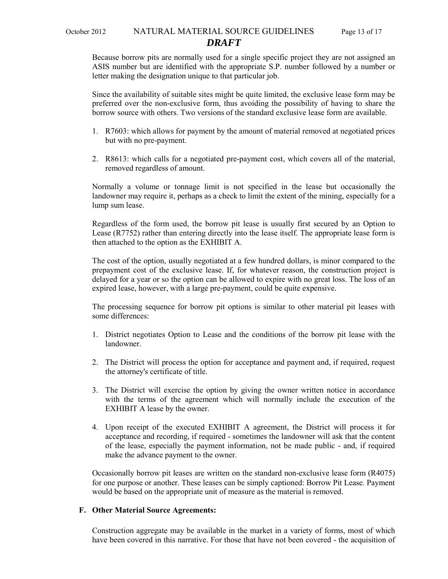# October 2012 NATURAL MATERIAL SOURCE GUIDELINES Page 13 of 17 *DRAFT*

Because borrow pits are normally used for a single specific project they are not assigned an ASIS number but are identified with the appropriate S.P. number followed by a number or letter making the designation unique to that particular job.

Since the availability of suitable sites might be quite limited, the exclusive lease form may be preferred over the non-exclusive form, thus avoiding the possibility of having to share the borrow source with others. Two versions of the standard exclusive lease form are available.

- 1. R7603: which allows for payment by the amount of material removed at negotiated prices but with no pre-payment.
- 2. R8613: which calls for a negotiated pre-payment cost, which covers all of the material, removed regardless of amount.

Normally a volume or tonnage limit is not specified in the lease but occasionally the landowner may require it, perhaps as a check to limit the extent of the mining, especially for a lump sum lease.

Regardless of the form used, the borrow pit lease is usually first secured by an Option to Lease (R7752) rather than entering directly into the lease itself. The appropriate lease form is then attached to the option as the EXHIBIT A.

The cost of the option, usually negotiated at a few hundred dollars, is minor compared to the prepayment cost of the exclusive lease. If, for whatever reason, the construction project is delayed for a year or so the option can be allowed to expire with no great loss. The loss of an expired lease, however, with a large pre-payment, could be quite expensive.

The processing sequence for borrow pit options is similar to other material pit leases with some differences:

- 1. District negotiates Option to Lease and the conditions of the borrow pit lease with the landowner.
- 2. The District will process the option for acceptance and payment and, if required, request the attorney's certificate of title.
- 3. The District will exercise the option by giving the owner written notice in accordance with the terms of the agreement which will normally include the execution of the EXHIBIT A lease by the owner.
- 4. Upon receipt of the executed EXHIBIT A agreement, the District will process it for acceptance and recording, if required - sometimes the landowner will ask that the content of the lease, especially the payment information, not be made public - and, if required make the advance payment to the owner.

Occasionally borrow pit leases are written on the standard non-exclusive lease form (R4075) for one purpose or another. These leases can be simply captioned: Borrow Pit Lease. Payment would be based on the appropriate unit of measure as the material is removed.

#### **F. Other Material Source Agreements:**

Construction aggregate may be available in the market in a variety of forms, most of which have been covered in this narrative. For those that have not been covered - the acquisition of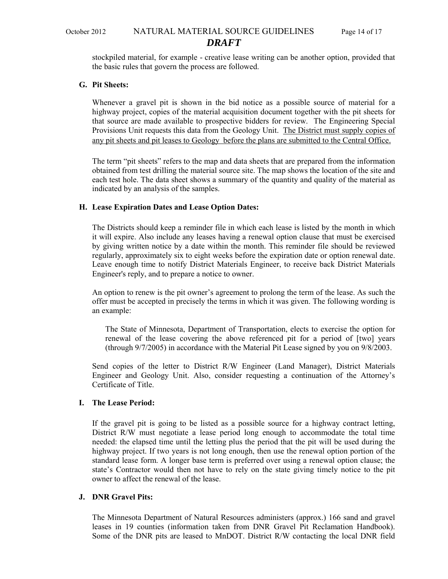stockpiled material, for example - creative lease writing can be another option, provided that the basic rules that govern the process are followed.

#### **G. Pit Sheets:**

Whenever a gravel pit is shown in the bid notice as a possible source of material for a highway project, copies of the material acquisition document together with the pit sheets for that source are made available to prospective bidders for review.The Engineering Special Provisions Unit requests this data from the Geology Unit. The District must supply copies of any pit sheets and pit leases to Geology before the plans are submitted to the Central Office.

The term "pit sheets" refers to the map and data sheets that are prepared from the information obtained from test drilling the material source site. The map shows the location of the site and each test hole. The data sheet shows a summary of the quantity and quality of the material as indicated by an analysis of the samples.

#### **H. Lease Expiration Dates and Lease Option Dates:**

The Districts should keep a reminder file in which each lease is listed by the month in which it will expire. Also include any leases having a renewal option clause that must be exercised by giving written notice by a date within the month. This reminder file should be reviewed regularly, approximately six to eight weeks before the expiration date or option renewal date. Leave enough time to notify District Materials Engineer, to receive back District Materials Engineer's reply, and to prepare a notice to owner.

An option to renew is the pit owner's agreement to prolong the term of the lease. As such the offer must be accepted in precisely the terms in which it was given. The following wording is an example:

The State of Minnesota, Department of Transportation, elects to exercise the option for renewal of the lease covering the above referenced pit for a period of [two] years (through 9/7/2005) in accordance with the Material Pit Lease signed by you on 9/8/2003.

Send copies of the letter to District R/W Engineer (Land Manager), District Materials Engineer and Geology Unit. Also, consider requesting a continuation of the Attorney's Certificate of Title.

#### **I. The Lease Period:**

If the gravel pit is going to be listed as a possible source for a highway contract letting, District R/W must negotiate a lease period long enough to accommodate the total time needed: the elapsed time until the letting plus the period that the pit will be used during the highway project. If two years is not long enough, then use the renewal option portion of the standard lease form. A longer base term is preferred over using a renewal option clause; the state's Contractor would then not have to rely on the state giving timely notice to the pit owner to affect the renewal of the lease.

### **J. DNR Gravel Pits:**

The Minnesota Department of Natural Resources administers (approx.) 166 sand and gravel leases in 19 counties (information taken from DNR Gravel Pit Reclamation Handbook). Some of the DNR pits are leased to MnDOT. District R/W contacting the local DNR field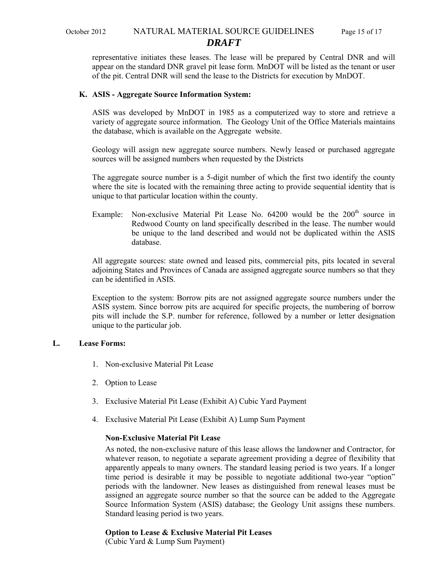# October 2012 NATURAL MATERIAL SOURCE GUIDELINES Page 15 of 17 *DRAFT*

representative initiates these leases. The lease will be prepared by Central DNR and will appear on the standard DNR gravel pit lease form. MnDOT will be listed as the tenant or user of the pit. Central DNR will send the lease to the Districts for execution by MnDOT.

#### **K. ASIS - Aggregate Source Information System:**

ASIS was developed by MnDOT in 1985 as a computerized way to store and retrieve a variety of aggregate source information. The Geology Unit of the Office Materials maintains the database, which is available on the Aggregate website.

Geology will assign new aggregate source numbers. Newly leased or purchased aggregate sources will be assigned numbers when requested by the Districts

The aggregate source number is a 5-digit number of which the first two identify the county where the site is located with the remaining three acting to provide sequential identity that is unique to that particular location within the county.

Example: Non-exclusive Material Pit Lease No.  $64200$  would be the  $200<sup>th</sup>$  source in Redwood County on land specifically described in the lease. The number would be unique to the land described and would not be duplicated within the ASIS database.

All aggregate sources: state owned and leased pits, commercial pits, pits located in several adjoining States and Provinces of Canada are assigned aggregate source numbers so that they can be identified in ASIS.

Exception to the system: Borrow pits are not assigned aggregate source numbers under the ASIS system. Since borrow pits are acquired for specific projects, the numbering of borrow pits will include the S.P. number for reference, followed by a number or letter designation unique to the particular job.

#### **L. Lease Forms:**

- 1. Non-exclusive Material Pit Lease
- 2. Option to Lease
- 3. Exclusive Material Pit Lease (Exhibit A) Cubic Yard Payment
- 4. Exclusive Material Pit Lease (Exhibit A) Lump Sum Payment

#### **Non-Exclusive Material Pit Lease**

As noted, the non-exclusive nature of this lease allows the landowner and Contractor, for whatever reason, to negotiate a separate agreement providing a degree of flexibility that apparently appeals to many owners. The standard leasing period is two years. If a longer time period is desirable it may be possible to negotiate additional two-year "option" periods with the landowner. New leases as distinguished from renewal leases must be assigned an aggregate source number so that the source can be added to the Aggregate Source Information System (ASIS) database; the Geology Unit assigns these numbers. Standard leasing period is two years.

#### **Option to Lease & Exclusive Material Pit Leases**

(Cubic Yard & Lump Sum Payment)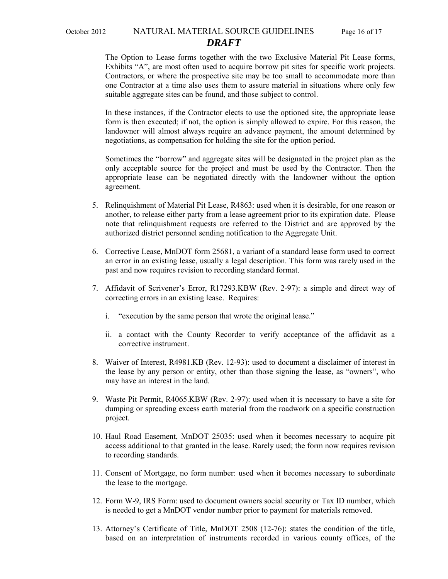# October 2012 NATURAL MATERIAL SOURCE GUIDELINES Page 16 of 17 *DRAFT*

The Option to Lease forms together with the two Exclusive Material Pit Lease forms, Exhibits "A", are most often used to acquire borrow pit sites for specific work projects. Contractors, or where the prospective site may be too small to accommodate more than one Contractor at a time also uses them to assure material in situations where only few suitable aggregate sites can be found, and those subject to control.

In these instances, if the Contractor elects to use the optioned site, the appropriate lease form is then executed; if not, the option is simply allowed to expire. For this reason, the landowner will almost always require an advance payment, the amount determined by negotiations, as compensation for holding the site for the option period.

Sometimes the "borrow" and aggregate sites will be designated in the project plan as the only acceptable source for the project and must be used by the Contractor. Then the appropriate lease can be negotiated directly with the landowner without the option agreement.

- 5. Relinquishment of Material Pit Lease, R4863: used when it is desirable, for one reason or another, to release either party from a lease agreement prior to its expiration date. Please note that relinquishment requests are referred to the District and are approved by the authorized district personnel sending notification to the Aggregate Unit.
- 6. Corrective Lease, MnDOT form 25681, a variant of a standard lease form used to correct an error in an existing lease, usually a legal description. This form was rarely used in the past and now requires revision to recording standard format.
- 7. Affidavit of Scrivener's Error, R17293.KBW (Rev. 2-97): a simple and direct way of correcting errors in an existing lease. Requires:
	- i. "execution by the same person that wrote the original lease."
	- ii. a contact with the County Recorder to verify acceptance of the affidavit as a corrective instrument.
- 8. Waiver of Interest, R4981.KB (Rev. 12-93): used to document a disclaimer of interest in the lease by any person or entity, other than those signing the lease, as "owners", who may have an interest in the land.
- 9. Waste Pit Permit, R4065.KBW (Rev. 2-97): used when it is necessary to have a site for dumping or spreading excess earth material from the roadwork on a specific construction project.
- 10. Haul Road Easement, MnDOT 25035: used when it becomes necessary to acquire pit access additional to that granted in the lease. Rarely used; the form now requires revision to recording standards.
- 11. Consent of Mortgage, no form number: used when it becomes necessary to subordinate the lease to the mortgage.
- 12. Form W-9, IRS Form: used to document owners social security or Tax ID number, which is needed to get a MnDOT vendor number prior to payment for materials removed.
- 13. Attorney's Certificate of Title, MnDOT 2508 (12-76): states the condition of the title, based on an interpretation of instruments recorded in various county offices, of the